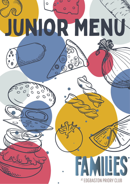